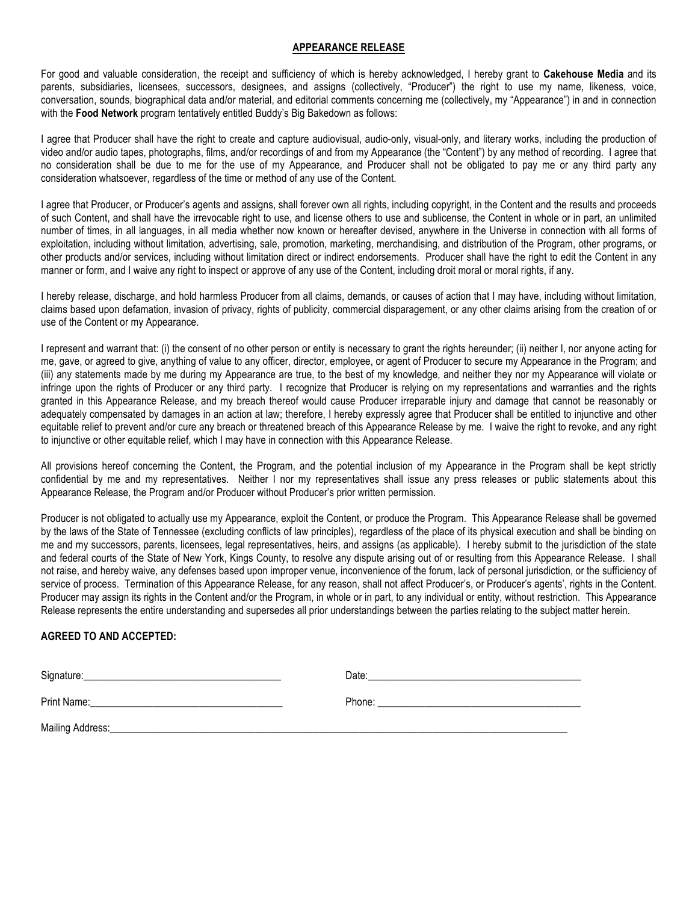## **APPEARANCE RELEASE**

For good and valuable consideration, the receipt and sufficiency of which is hereby acknowledged, I hereby grant to **Cakehouse Media** and its parents, subsidiaries, licensees, successors, designees, and assigns (collectively, "Producer") the right to use my name, likeness, voice, conversation, sounds, biographical data and/or material, and editorial comments concerning me (collectively, my "Appearance") in and in connection with the **Food Network** program tentatively entitled Buddy's Big Bakedown as follows:

I agree that Producer shall have the right to create and capture audiovisual, audio-only, visual-only, and literary works, including the production of video and/or audio tapes, photographs, films, and/or recordings of and from my Appearance (the "Content") by any method of recording. I agree that no consideration shall be due to me for the use of my Appearance, and Producer shall not be obligated to pay me or any third party any consideration whatsoever, regardless of the time or method of any use of the Content.

I agree that Producer, or Producer's agents and assigns, shall forever own all rights, including copyright, in the Content and the results and proceeds of such Content, and shall have the irrevocable right to use, and license others to use and sublicense, the Content in whole or in part, an unlimited number of times, in all languages, in all media whether now known or hereafter devised, anywhere in the Universe in connection with all forms of exploitation, including without limitation, advertising, sale, promotion, marketing, merchandising, and distribution of the Program, other programs, or other products and/or services, including without limitation direct or indirect endorsements. Producer shall have the right to edit the Content in any manner or form, and I waive any right to inspect or approve of any use of the Content, including droit moral or moral rights, if any.

I hereby release, discharge, and hold harmless Producer from all claims, demands, or causes of action that I may have, including without limitation, claims based upon defamation, invasion of privacy, rights of publicity, commercial disparagement, or any other claims arising from the creation of or use of the Content or my Appearance.

I represent and warrant that: (i) the consent of no other person or entity is necessary to grant the rights hereunder; (ii) neither I, nor anyone acting for me, gave, or agreed to give, anything of value to any officer, director, employee, or agent of Producer to secure my Appearance in the Program; and (iii) any statements made by me during my Appearance are true, to the best of my knowledge, and neither they nor my Appearance will violate or infringe upon the rights of Producer or any third party. I recognize that Producer is relying on my representations and warranties and the rights granted in this Appearance Release, and my breach thereof would cause Producer irreparable injury and damage that cannot be reasonably or adequately compensated by damages in an action at law; therefore, I hereby expressly agree that Producer shall be entitled to injunctive and other equitable relief to prevent and/or cure any breach or threatened breach of this Appearance Release by me. I waive the right to revoke, and any right to injunctive or other equitable relief, which I may have in connection with this Appearance Release.

All provisions hereof concerning the Content, the Program, and the potential inclusion of my Appearance in the Program shall be kept strictly confidential by me and my representatives. Neither I nor my representatives shall issue any press releases or public statements about this Appearance Release, the Program and/or Producer without Producer's prior written permission.

Producer is not obligated to actually use my Appearance, exploit the Content, or produce the Program. This Appearance Release shall be governed by the laws of the State of Tennessee (excluding conflicts of law principles), regardless of the place of its physical execution and shall be binding on me and my successors, parents, licensees, legal representatives, heirs, and assigns (as applicable). I hereby submit to the jurisdiction of the state and federal courts of the State of New York, Kings County, to resolve any dispute arising out of or resulting from this Appearance Release. I shall not raise, and hereby waive, any defenses based upon improper venue, inconvenience of the forum, lack of personal jurisdiction, or the sufficiency of service of process. Termination of this Appearance Release, for any reason, shall not affect Producer's, or Producer's agents', rights in the Content. Producer may assign its rights in the Content and/or the Program, in whole or in part, to any individual or entity, without restriction. This Appearance Release represents the entire understanding and supersedes all prior understandings between the parties relating to the subject matter herein.

## **AGREED TO AND ACCEPTED:**

| Signature: | Date: |
|------------|-------|
|            |       |
|            |       |